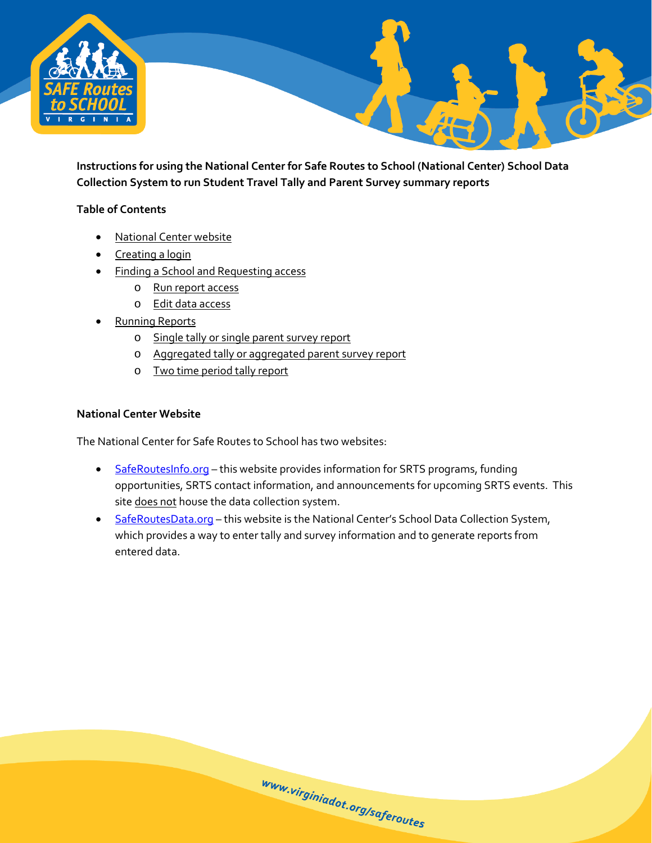

**Instructions for using the National Center for Safe Routes to School (National Center) School Data Collection System to run Student Travel Tally and Parent Survey summary reports**

#### **Table of Contents**

- [National Center website](#page-0-0)
- [Creating a login](#page-1-0)
- [Finding a School and Requesting access](#page-2-0)
	- o [Run report access](#page-4-0)
	- o [Edit data access](#page-4-0)
- [Running Reports](#page-6-0)
	- o [Single tally or single parent survey report](#page-9-0)
	- o [Aggregated tally or aggregated parent survey report](#page-10-0)
	- o [Two time period tally report](#page-12-0)

#### <span id="page-0-0"></span>**National Center Website**

The National Center for Safe Routes to School has two websites:

• [SafeRoutesInfo.org](http://www.saferoutesinfo.org/) – this website provides information for SRTS programs, funding opportunities, SRTS contact information, and announcements for upcoming SRTS events. This site does not house the data collection system.

www.virginiadot.org/saferoutes

• [SafeRoutesData.org](http://www.saferoutesdata.org/) - this website is the National Center's School Data Collection System, which provides a way to enter tally and survey information and to generate reports from entered data.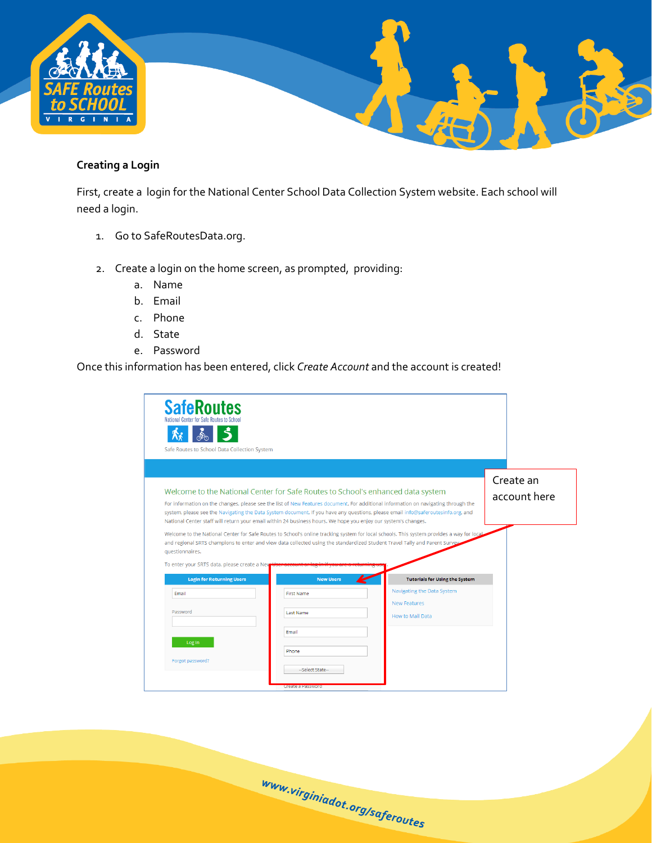

# <span id="page-1-0"></span>**Creating a Login**

First, create a login for the National Center School Data Collection System website. Each school will need a login.

- 1. Go to SafeRoutesData.org.
- 2. Create a login on the home screen, as prompted, providing:
	- a. Name
	- b. Email
	- c. Phone
	- d. State
	- e. Password

Once this information has been entered, click *Create Account* and the account is created!

| <b>SafeRoutes</b><br>National Center for Safe Routes to Schoo<br>Safe Routes to School Data Collection System                                                                                                                     |                                                                |                                                                                                                                                                                                                                                                        |                           |
|-----------------------------------------------------------------------------------------------------------------------------------------------------------------------------------------------------------------------------------|----------------------------------------------------------------|------------------------------------------------------------------------------------------------------------------------------------------------------------------------------------------------------------------------------------------------------------------------|---------------------------|
| Welcome to the National Center for Safe Routes to School's enhanced data system<br>National Center staff will return your email within 24 business hours. We hope you enjoy our system's changes.                                 |                                                                | For information on the changes, please see the list of New Features document. For additional information on navigating through the<br>system, please see the Navigating the Data System document. If you have any questions, please email info@saferoutesinfo.org, and | Create an<br>account here |
| and regional SRTS champions to enter and view data collected using the standardized Student Travel Tally and Parent Survey<br>questionnaires.<br>To enter your SRTS data, please create a Nev<br><b>Login for Returning Users</b> | <b>New Users</b>                                               | Welcome to the National Center for Safe Routes to School's online tracking system for local schools. This system provides a way for local<br><b>Tutorials for Using the System</b>                                                                                     |                           |
| Email                                                                                                                                                                                                                             | <b>First Name</b>                                              | Navigating the Data System                                                                                                                                                                                                                                             |                           |
|                                                                                                                                                                                                                                   |                                                                | <b>New Features</b>                                                                                                                                                                                                                                                    |                           |
| Password                                                                                                                                                                                                                          | <b>Last Name</b>                                               | How to Mail Data                                                                                                                                                                                                                                                       |                           |
| Log In<br>Forgot password?                                                                                                                                                                                                        | Email<br>Phone<br>--Select State--<br><b>Create a Password</b> |                                                                                                                                                                                                                                                                        |                           |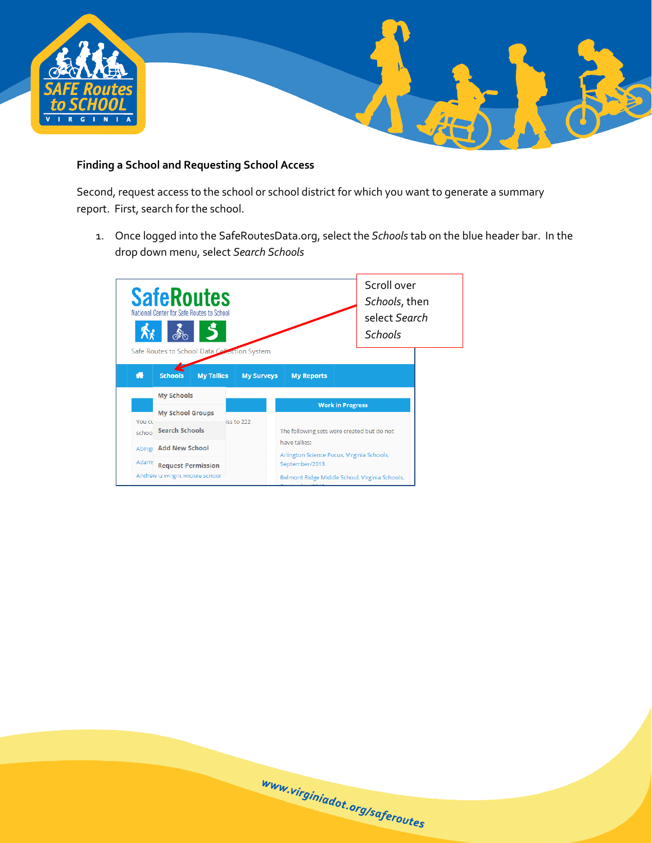

# <span id="page-2-0"></span>**Finding a School and Requesting School Access**

Second, request access to the school or school district for which you want to generate a summary report. First, search for the school.

1. Once logged into the SafeRoutesData.org, select the *Schools* tab on the blue header bar. In the drop down menu, select *Search Schools*

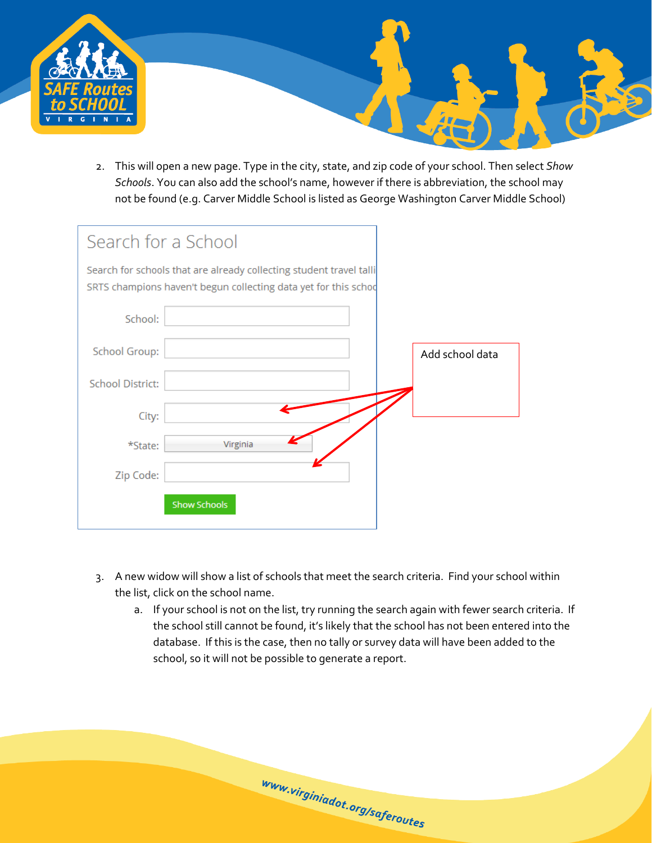

2. This will open a new page. Type in the city, state, and zip code of your school. Then select *Show Schools*. You can also add the school's name, however if there is abbreviation, the school may not be found (e.g. Carver Middle School is listed as George Washington Carver Middle School)

| Search for a School                                                                                                                    |                 |
|----------------------------------------------------------------------------------------------------------------------------------------|-----------------|
| Search for schools that are already collecting student travel talli<br>SRTS champions haven't begun collecting data yet for this schod |                 |
| School:                                                                                                                                |                 |
| School Group:                                                                                                                          | Add school data |
| <b>School District:</b>                                                                                                                |                 |
| City:                                                                                                                                  |                 |
| Virginia<br>*State:                                                                                                                    |                 |
| Zip Code:                                                                                                                              |                 |
| <b>Show Schools</b>                                                                                                                    |                 |

- 3. A new widow will show a list of schools that meet the search criteria. Find your school within the list, click on the school name.
	- a. If your school is not on the list, try running the search again with fewer search criteria. If the school still cannot be found, it's likely that the school has not been entered into the database. If this is the case, then no tally or survey data will have been added to the school, so it will not be possible to generate a report.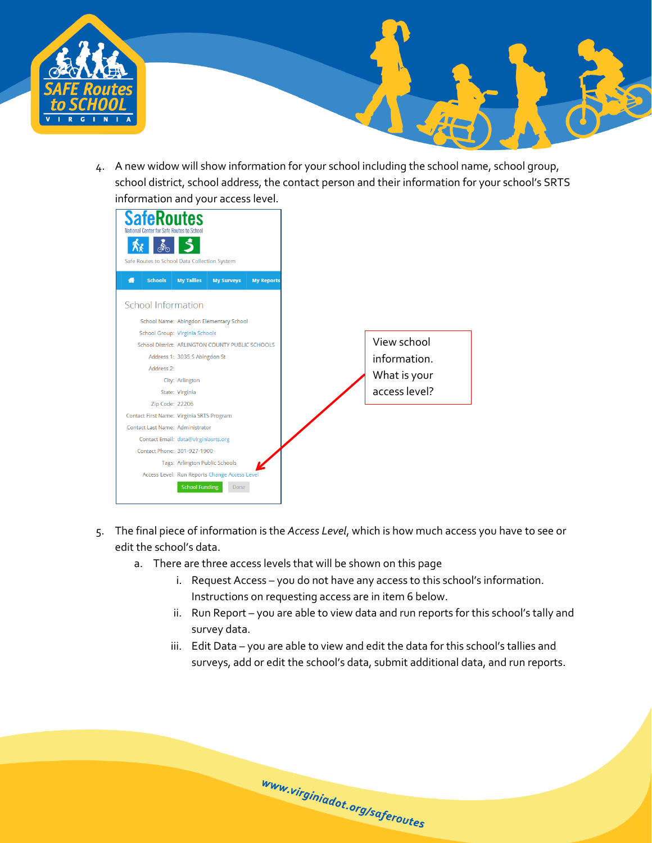

4. A new widow will show information for your school including the school name, school group, school district, school address, the contact person and their information for your school's SRTS information and your access level.



- <span id="page-4-0"></span>5. The final piece of information is the *Access Level*, which is how much access you have to see or edit the school's data.
	- a. There are three access levels that will be shown on this page
		- i. Request Access you do not have any access to this school's information. Instructions on requesting access are in item 6 below.
		- ii. Run Report you are able to view data and run reports for this school's tally and survey data.
		- iii. Edit Data you are able to view and edit the data for this school's tallies and surveys, add or edit the school's data, submit additional data, and run reports.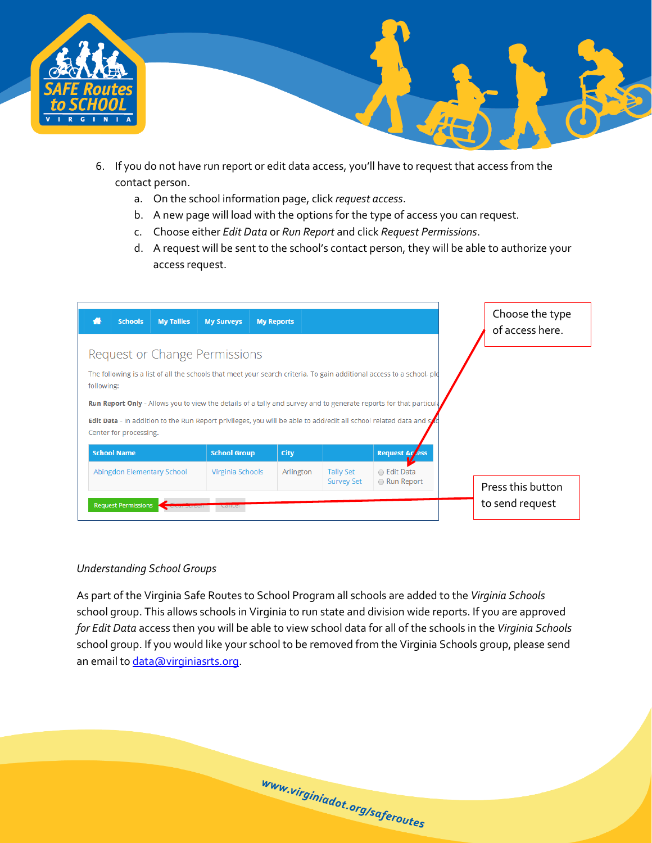

- 6. If you do not have run report or edit data access, you'll have to request that access from the contact person.
	- a. On the school information page, click *request access*.
	- b. A new page will load with the options for the type of access you can request.
	- c. Choose either *Edit Data* or *Run Report* and click *Request Permissions*.
	- d. A request will be sent to the school's contact person, they will be able to authorize your access request.

| <b>Schools</b><br><b>My Tallies</b>                                                                                                          | <b>My Surveys</b>   | <b>My Reports</b> |                   |                       |  | Choose the type<br>of access here.   |  |  |
|----------------------------------------------------------------------------------------------------------------------------------------------|---------------------|-------------------|-------------------|-----------------------|--|--------------------------------------|--|--|
| Request or Change Permissions                                                                                                                |                     |                   |                   |                       |  |                                      |  |  |
| The following is a list of all the schools that meet your search criteria. To gain additional access to a school, ple<br>following:          |                     |                   |                   |                       |  |                                      |  |  |
| Run Report Only - Allows you to view the details of a tally and survey and to generate reports for that particula                            |                     |                   |                   |                       |  |                                      |  |  |
| Edit Data - In addition to the Run Report privileges, you will be able to add/edit all school related data and syc<br>Center for processing. |                     |                   |                   |                       |  |                                      |  |  |
| <b>School Name</b>                                                                                                                           | <b>School Group</b> | <b>City</b>       |                   |                       |  |                                      |  |  |
|                                                                                                                                              |                     |                   |                   | <b>Request Access</b> |  |                                      |  |  |
| Abingdon Elementary School                                                                                                                   | Virginia Schools    | Arlington         | <b>Tally Set</b>  | ● Edit Data           |  |                                      |  |  |
| <b>Request Permissions</b>                                                                                                                   |                     |                   | <b>Survey Set</b> | ● Run Report          |  | Press this button<br>to send request |  |  |

#### *Understanding School Groups*

As part of the Virginia Safe Routes to School Program all schools are added to the *Virginia Schools* school group. This allows schools in Virginia to run state and division wide reports. If you are approved *for Edit Data* access then you will be able to view school data for all of the schools in the *Virginia Schools* school group. If you would like your school to be removed from the Virginia Schools group, please send an email to *data@virginiasrts.org*.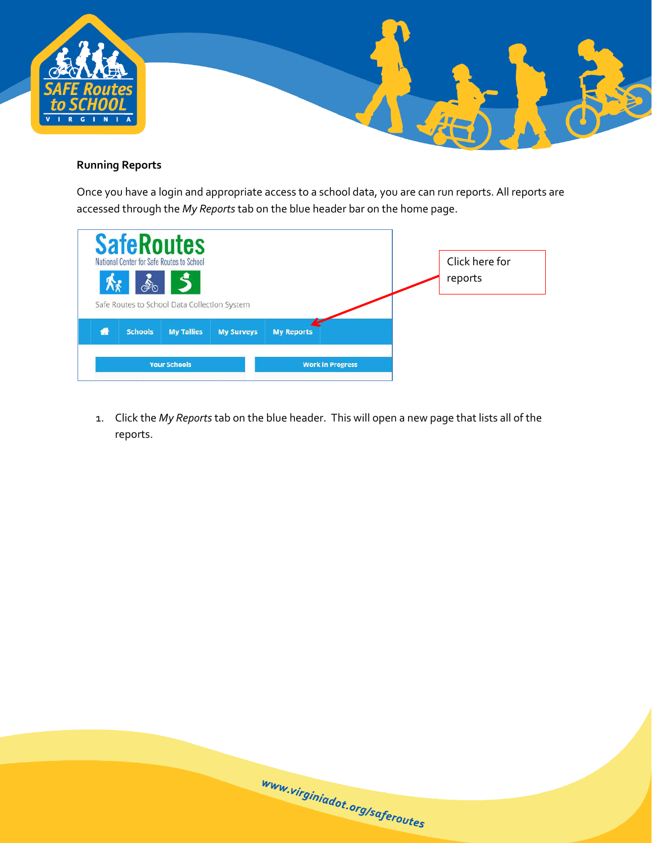

# <span id="page-6-0"></span>**Running Reports**

Once you have a login and appropriate access to a school data, you are can run reports. All reports are accessed through the *My Reports* tab on the blue header bar on the home page.

|   |                | <b>SafeRoutes</b><br>National Center for Safe Routes to School<br>$\overline{5}$<br>Safe Routes to School Data Collection System |                   |                   |                         | Click here for<br>reports |  |
|---|----------------|----------------------------------------------------------------------------------------------------------------------------------|-------------------|-------------------|-------------------------|---------------------------|--|
| ₩ | <b>Schools</b> | <b>My Tallies</b>                                                                                                                | <b>My Surveys</b> | <b>My Reports</b> |                         |                           |  |
|   |                | <b>Your Schools</b>                                                                                                              |                   |                   | <b>Work in Progress</b> |                           |  |

1. Click the *My Reports* tab on the blue header. This will open a new page that lists all of the reports.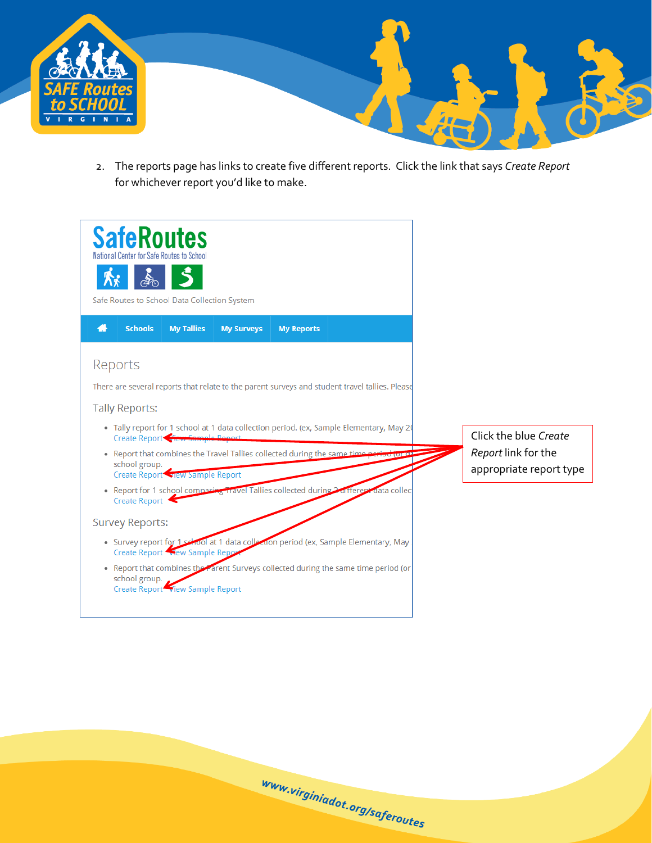

2. The reports page has links to create five different reports. Click the link that says *Create Report* for whichever report you'd like to make.

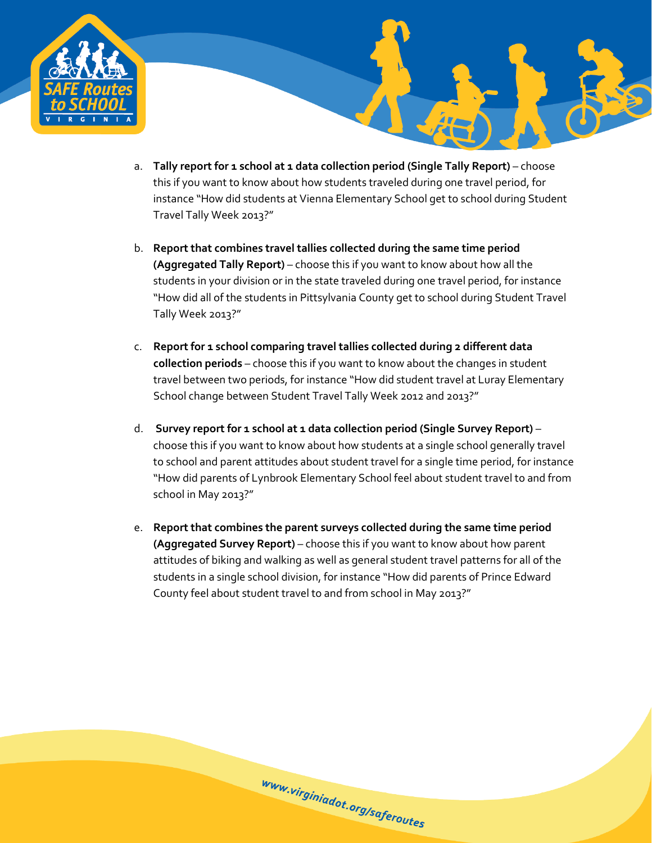

- a. **Tally report for 1 school at 1 data collection period (Single Tally Report)** choose this if you want to know about how students traveled during one travel period, for instance "How did students at Vienna Elementary School get to school during Student Travel Tally Week 2013?"
- b. **Report that combines travel tallies collected during the same time period (Aggregated Tally Report)** – choose this if you want to know about how all the students in your division or in the state traveled during one travel period, for instance "How did all of the students in Pittsylvania County get to school during Student Travel Tally Week 2013?"
- c. **Report for 1 school comparing travel tallies collected during 2 different data collection periods** – choose this if you want to know about the changes in student travel between two periods, for instance "How did student travel at Luray Elementary School change between Student Travel Tally Week 2012 and 2013?"
- d. **Survey report for 1 school at 1 data collection period (Single Survey Report)** choose this if you want to know about how students at a single school generally travel to school and parent attitudes about student travel for a single time period, for instance "How did parents of Lynbrook Elementary School feel about student travel to and from school in May 2013?"
- e. **Report that combines the parent surveys collected during the same time period (Aggregated Survey Report)** – choose this if you want to know about how parent attitudes of biking and walking as well as general student travel patterns for all of the students in a single school division, for instance "How did parents of Prince Edward County feel about student travel to and from school in May 2013?"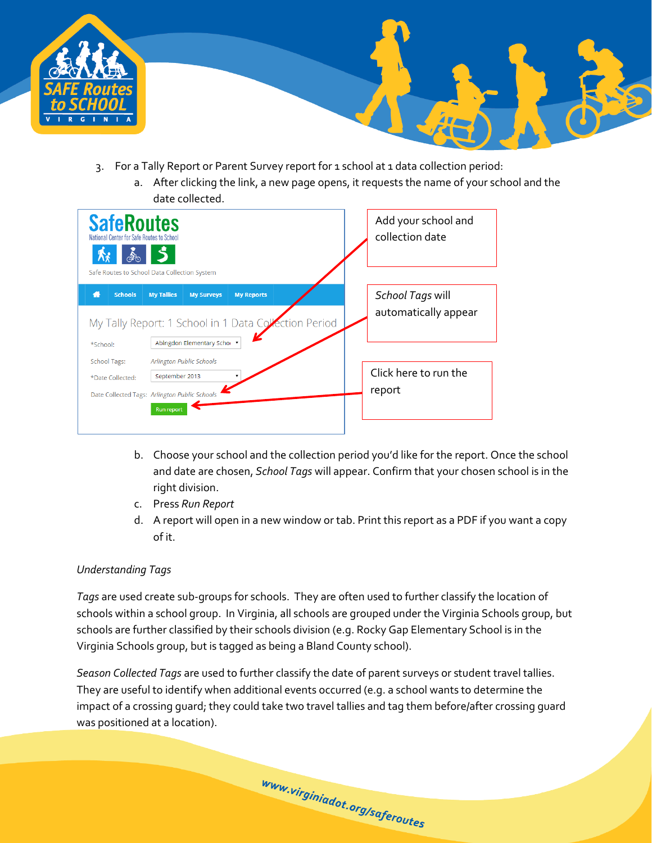



- <span id="page-9-0"></span>3. For a Tally Report or Parent Survey report for 1 school at 1 data collection period:
	- a. After clicking the link, a new page opens, it requests the name of your school and the date collected.

| <b>SafeRoutes</b><br>National Center for Safe Routes to School<br>Safe Routes to School Data Collection System |                                     |                                                  |                                                                            |  | Add your school and<br>collection date   |
|----------------------------------------------------------------------------------------------------------------|-------------------------------------|--------------------------------------------------|----------------------------------------------------------------------------|--|------------------------------------------|
| <b>Schools</b><br>48                                                                                           | <b>My Tallies</b>                   | <b>My Surveys</b><br>Abingdon Elementary Scho⊢ ▼ | <b>My Reports</b><br>My Tally Report: 1 School in 1 Data Collection Period |  | School Tags will<br>automatically appear |
| *School:<br><b>School Tags:</b><br>*Date Collected:<br>Date Collected Tags: Arlington Public Schools           | September 2013<br><b>Run report</b> | Arlington Public Schools                         |                                                                            |  | Click here to run the<br>report          |

- b. Choose your school and the collection period you'd like for the report. Once the school and date are chosen, *School Tags* will appear. Confirm that your chosen school is in the right division.
- c. Press *Run Report*
- d. A report will open in a new window or tab. Print this report as a PDF if you want a copy of it.

#### *Understanding Tags*

*Tags* are used create sub-groups for schools. They are often used to further classify the location of schools within a school group. In Virginia, all schools are grouped under the Virginia Schools group, but schools are further classified by their schools division (e.g. Rocky Gap Elementary School is in the Virginia Schools group, but is tagged as being a Bland County school).

*Season Collected Tags* are used to further classify the date of parent surveys or student travel tallies. They are useful to identify when additional events occurred (e.g. a school wants to determine the impact of a crossing guard; they could take two travel tallies and tag them before/after crossing guard was positioned at a location).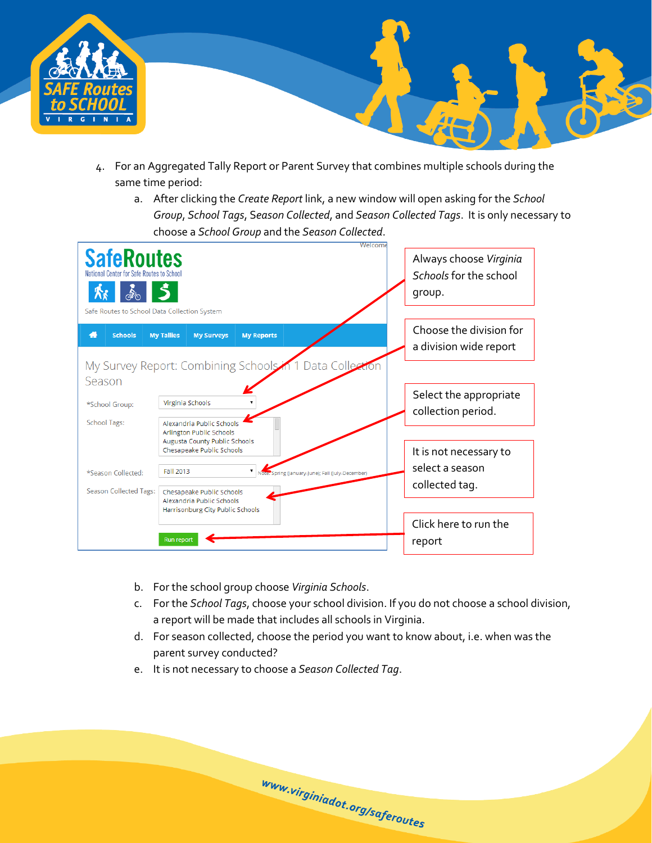



- <span id="page-10-0"></span>4. For an Aggregated Tally Report or Parent Survey that combines multiple schools during the same time period:
	- a. After clicking the *Create Report* link, a new window will open asking for the *School Group*, *School Tags*, S*eason Collected*, and *Season Collected Tags*. It is only necessary to choose a *School Group* and the *Season Collected*.



- b. For the school group choose *Virginia Schools*.
- c. For the *School Tags*, choose your school division. If you do not choose a school division, a report will be made that includes all schools in Virginia.
- d. For season collected, choose the period you want to know about, i.e. when was the parent survey conducted?

www.virginiadot.org/saferoutes

e. It is not necessary to choose a *Season Collected Tag*.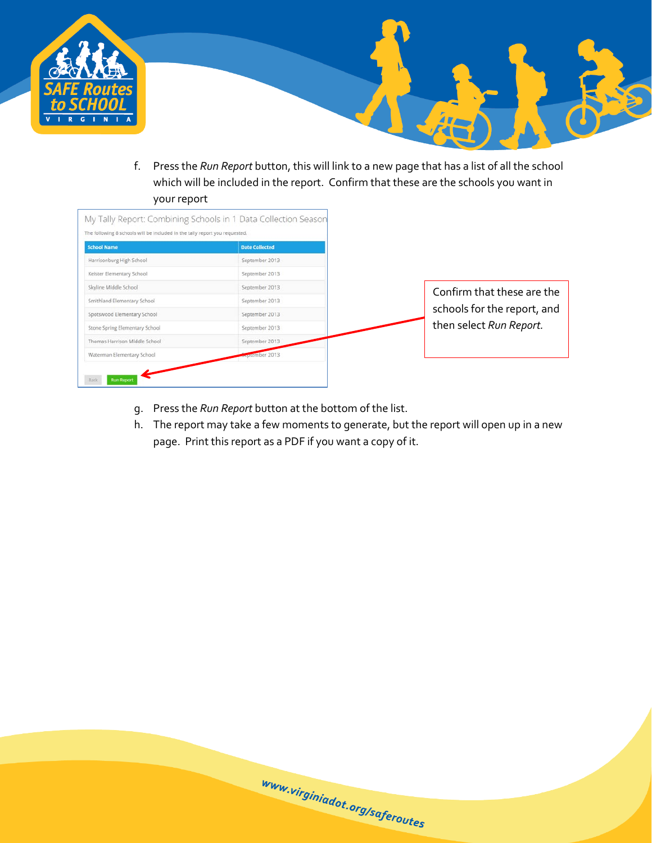

f. Press the *Run Report* button, this will link to a new page that has a list of all the school which will be included in the report. Confirm that these are the schools you want in your report

最

| <b>School Name</b>             | <b>Date Collected</b> |                             |
|--------------------------------|-----------------------|-----------------------------|
| Harrisonburg High School       | September 2013        |                             |
| Keister Elementary School      | September 2013        |                             |
| Skyline Middle School          | September 2013        | Confirm that these are the  |
| Smithland Elementary School    | September 2013        |                             |
| Spotswood Elementary School    | September 2013        | schools for the report, and |
| Stone Spring Elementary School | September 2013        | then select Run Report.     |
| Thomas Harrison Middle School  | September 2013        |                             |
| Waterman Elementary School     | <b>Exprember 2013</b> |                             |

- g. Press the *Run Report* button at the bottom of the list.
- h. The report may take a few moments to generate, but the report will open up in a new page. Print this report as a PDF if you want a copy of it.